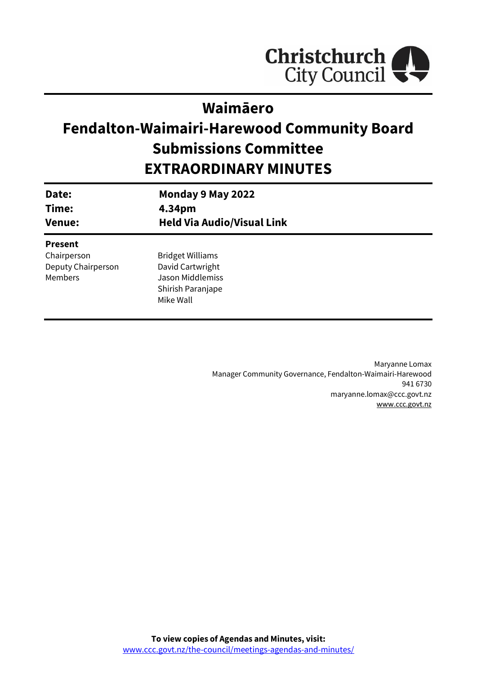

## **Waimāero**

# **Fendalton-Waimairi-Harewood Community Board Submissions Committee EXTRAORDINARY MINUTES**

| Date:<br>Time:<br><b>Venue:</b> | Monday 9 May 2022<br>4.34pm<br><b>Held Via Audio/Visual Link</b> |
|---------------------------------|------------------------------------------------------------------|
| <b>Present</b>                  |                                                                  |
| Chairperson                     | <b>Bridget Williams</b>                                          |
| Deputy Chairperson              | David Cartwright                                                 |
| <b>Members</b>                  | Jason Middlemiss                                                 |
|                                 | Shirish Paranjape                                                |
|                                 | Mike Wall                                                        |
|                                 |                                                                  |

Maryanne Lomax Manager Community Governance, Fendalton-Waimairi-Harewood 941 6730 maryanne.lomax@ccc.govt.nz [www.ccc.govt.nz](http://www.ccc.govt.nz/)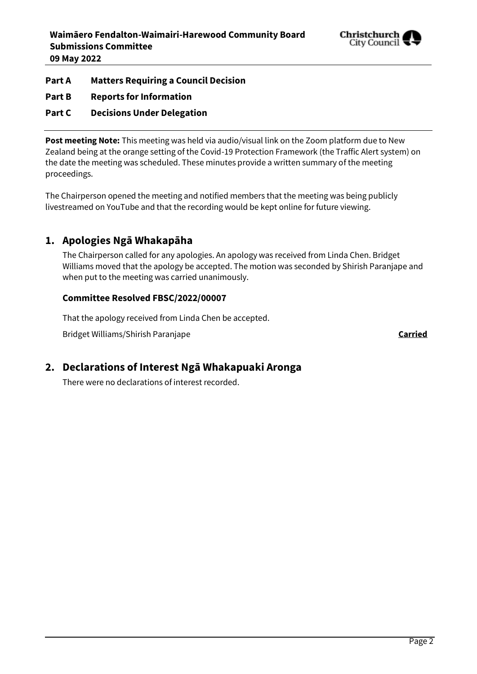

**Part A Matters Requiring a Council Decision**

**Part B Reports for Information**

**Part C Decisions Under Delegation**

**Post meeting Note:** This meeting was held via audio/visual link on the Zoom platform due to New Zealand being at the orange setting of the Covid-19 Protection Framework (the Traffic Alert system) on the date the meeting was scheduled. These minutes provide a written summary of the meeting proceedings.

The Chairperson opened the meeting and notified members that the meeting was being publicly livestreamed on YouTube and that the recording would be kept online for future viewing.

## **1. Apologies Ngā Whakapāha**

The Chairperson called for any apologies. An apology was received from Linda Chen. Bridget Williams moved that the apology be accepted. The motion was seconded by Shirish Paranjape and when put to the meeting was carried unanimously.

### **Committee Resolved FBSC/2022/00007**

That the apology received from Linda Chen be accepted.

Bridget Williams/Shirish Paranjape **Carried**

## **2. Declarations of Interest Ngā Whakapuaki Aronga**

There were no declarations of interest recorded.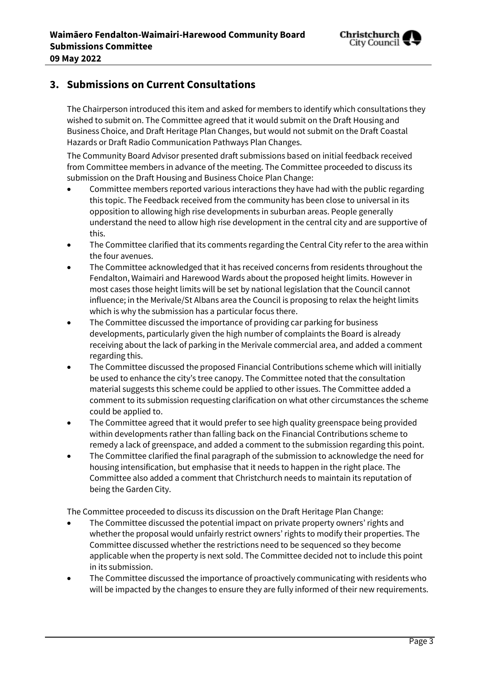

## **3. Submissions on Current Consultations**

The Chairperson introduced this item and asked for members to identify which consultations they wished to submit on. The Committee agreed that it would submit on the Draft Housing and Business Choice, and Draft Heritage Plan Changes, but would not submit on the Draft Coastal Hazards or Draft Radio Communication Pathways Plan Changes.

The Community Board Advisor presented draft submissions based on initial feedback received from Committee members in advance of the meeting. The Committee proceeded to discuss its submission on the Draft Housing and Business Choice Plan Change:

- Committee members reported various interactions they have had with the public regarding this topic. The Feedback received from the community has been close to universal in its opposition to allowing high rise developments in suburban areas. People generally understand the need to allow high rise development in the central city and are supportive of this.
- The Committee clarified that its comments regarding the Central City refer to the area within the four avenues.
- The Committee acknowledged that it has received concerns from residents throughout the Fendalton, Waimairi and Harewood Wards about the proposed height limits. However in most cases those height limits will be set by national legislation that the Council cannot influence; in the Merivale/St Albans area the Council is proposing to relax the height limits which is why the submission has a particular focus there.
- The Committee discussed the importance of providing car parking for business developments, particularly given the high number of complaints the Board is already receiving about the lack of parking in the Merivale commercial area, and added a comment regarding this.
- The Committee discussed the proposed Financial Contributions scheme which will initially be used to enhance the city's tree canopy. The Committee noted that the consultation material suggests this scheme could be applied to other issues. The Committee added a comment to its submission requesting clarification on what other circumstances the scheme could be applied to.
- The Committee agreed that it would prefer to see high quality greenspace being provided within developments rather than falling back on the Financial Contributions scheme to remedy a lack of greenspace, and added a comment to the submission regarding this point.
- The Committee clarified the final paragraph of the submission to acknowledge the need for housing intensification, but emphasise that it needs to happen in the right place. The Committee also added a comment that Christchurch needs to maintain its reputation of being the Garden City.

The Committee proceeded to discuss its discussion on the Draft Heritage Plan Change:

- The Committee discussed the potential impact on private property owners' rights and whether the proposal would unfairly restrict owners' rights to modify their properties. The Committee discussed whether the restrictions need to be sequenced so they become applicable when the property is next sold. The Committee decided not to include this point in its submission.
- The Committee discussed the importance of proactively communicating with residents who will be impacted by the changes to ensure they are fully informed of their new requirements.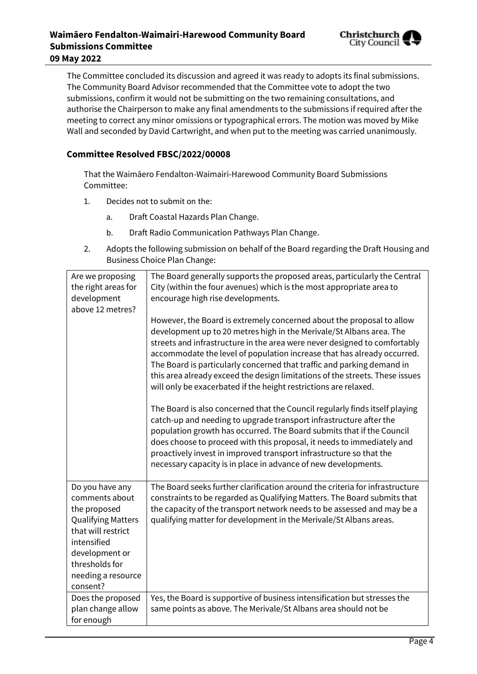

The Committee concluded its discussion and agreed it was ready to adopts its final submissions. The Community Board Advisor recommended that the Committee vote to adopt the two submissions, confirm it would not be submitting on the two remaining consultations, and authorise the Chairperson to make any final amendments to the submissions if required after the meeting to correct any minor omissions or typographical errors. The motion was moved by Mike Wall and seconded by David Cartwright, and when put to the meeting was carried unanimously.

#### **Committee Resolved FBSC/2022/00008**

That the Waimāero Fendalton-Waimairi-Harewood Community Board Submissions Committee:

- 1. Decides not to submit on the:
	- a. Draft Coastal Hazards Plan Change.
	- b. Draft Radio Communication Pathways Plan Change.
- 2. Adopts the following submission on behalf of the Board regarding the Draft Housing and Business Choice Plan Change:

| Are we proposing<br>the right areas for<br>development<br>above 12 metres?                                                                                                                | The Board generally supports the proposed areas, particularly the Central<br>City (within the four avenues) which is the most appropriate area to<br>encourage high rise developments.<br>However, the Board is extremely concerned about the proposal to allow<br>development up to 20 metres high in the Merivale/St Albans area. The<br>streets and infrastructure in the area were never designed to comfortably<br>accommodate the level of population increase that has already occurred.<br>The Board is particularly concerned that traffic and parking demand in<br>this area already exceed the design limitations of the streets. These issues<br>will only be exacerbated if the height restrictions are relaxed.<br>The Board is also concerned that the Council regularly finds itself playing<br>catch-up and needing to upgrade transport infrastructure after the<br>population growth has occurred. The Board submits that if the Council<br>does choose to proceed with this proposal, it needs to immediately and<br>proactively invest in improved transport infrastructure so that the<br>necessary capacity is in place in advance of new developments. |
|-------------------------------------------------------------------------------------------------------------------------------------------------------------------------------------------|--------------------------------------------------------------------------------------------------------------------------------------------------------------------------------------------------------------------------------------------------------------------------------------------------------------------------------------------------------------------------------------------------------------------------------------------------------------------------------------------------------------------------------------------------------------------------------------------------------------------------------------------------------------------------------------------------------------------------------------------------------------------------------------------------------------------------------------------------------------------------------------------------------------------------------------------------------------------------------------------------------------------------------------------------------------------------------------------------------------------------------------------------------------------------------|
| Do you have any<br>comments about<br>the proposed<br><b>Qualifying Matters</b><br>that will restrict<br>intensified<br>development or<br>thresholds for<br>needing a resource<br>consent? | The Board seeks further clarification around the criteria for infrastructure<br>constraints to be regarded as Qualifying Matters. The Board submits that<br>the capacity of the transport network needs to be assessed and may be a<br>qualifying matter for development in the Merivale/St Albans areas.                                                                                                                                                                                                                                                                                                                                                                                                                                                                                                                                                                                                                                                                                                                                                                                                                                                                      |
| Does the proposed<br>plan change allow                                                                                                                                                    | Yes, the Board is supportive of business intensification but stresses the<br>same points as above. The Merivale/St Albans area should not be                                                                                                                                                                                                                                                                                                                                                                                                                                                                                                                                                                                                                                                                                                                                                                                                                                                                                                                                                                                                                                   |
| for enough                                                                                                                                                                                |                                                                                                                                                                                                                                                                                                                                                                                                                                                                                                                                                                                                                                                                                                                                                                                                                                                                                                                                                                                                                                                                                                                                                                                |